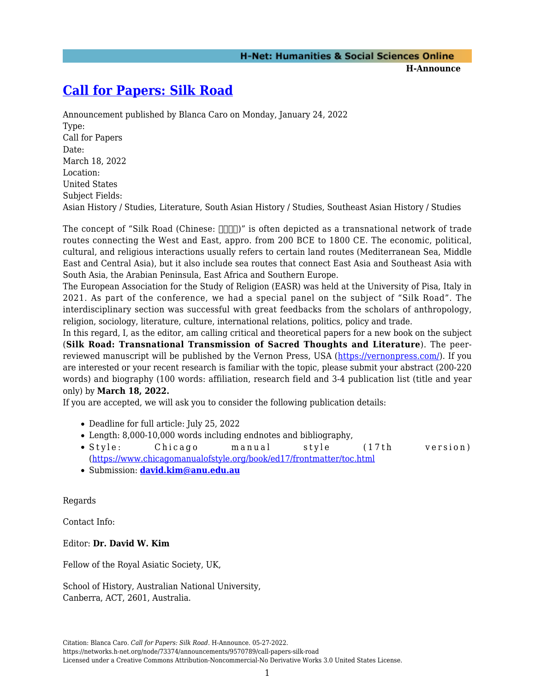## **[Call for Papers: Silk Road](https://networks.h-net.org/node/73374/announcements/9570789/call-papers-silk-road)**

Announcement published by Blanca Caro on Monday, January 24, 2022 Type: Call for Papers Date: March 18, 2022 Location: United States Subject Fields: Asian History / Studies, Literature, South Asian History / Studies, Southeast Asian History / Studies

The concept of "Silk Road (Chinese:  $\Box$  $\Box$ )" is often depicted as a transnational network of trade routes connecting the West and East, appro. from 200 BCE to 1800 CE. The economic, political, cultural, and religious interactions usually refers to certain land routes (Mediterranean Sea, Middle East and Central Asia), but it also include sea routes that connect East Asia and Southeast Asia with South Asia, the Arabian Peninsula, East Africa and Southern Europe.

The European Association for the Study of Religion (EASR) was held at the University of Pisa, Italy in 2021. As part of the conference, we had a special panel on the subject of "Silk Road". The interdisciplinary section was successful with great feedbacks from the scholars of anthropology, religion, sociology, literature, culture, international relations, politics, policy and trade.

In this regard, I, as the editor, am calling critical and theoretical papers for a new book on the subject (**Silk Road: Transnational Transmission of Sacred Thoughts and Literature**). The peerreviewed manuscript will be published by the Vernon Press, USA (<https://vernonpress.com/>). If you are interested or your recent research is familiar with the topic, please submit your abstract (200-220 words) and biography (100 words: affiliation, research field and 3-4 publication list (title and year only) by **March 18, 2022.**

If you are accepted, we will ask you to consider the following publication details:

- Deadline for full article: July 25, 2022
- Length: 8,000-10,000 words including endnotes and bibliography,
- Style: Chicago manual style (17th version) (<https://www.chicagomanualofstyle.org/book/ed17/frontmatter/toc.html>
- Submission: **[david.kim@anu.edu.au](mailto:david.kim@anu.edu.au)**

Regards

Contact Info:

Editor: **Dr. David W. Kim**

Fellow of the Royal Asiatic Society, UK,

School of History, Australian National University, Canberra, ACT, 2601, Australia.

https://networks.h-net.org/node/73374/announcements/9570789/call-papers-silk-road

Licensed under a Creative Commons Attribution-Noncommercial-No Derivative Works 3.0 United States License.

Citation: Blanca Caro. *Call for Papers: Silk Road*. H-Announce. 05-27-2022.